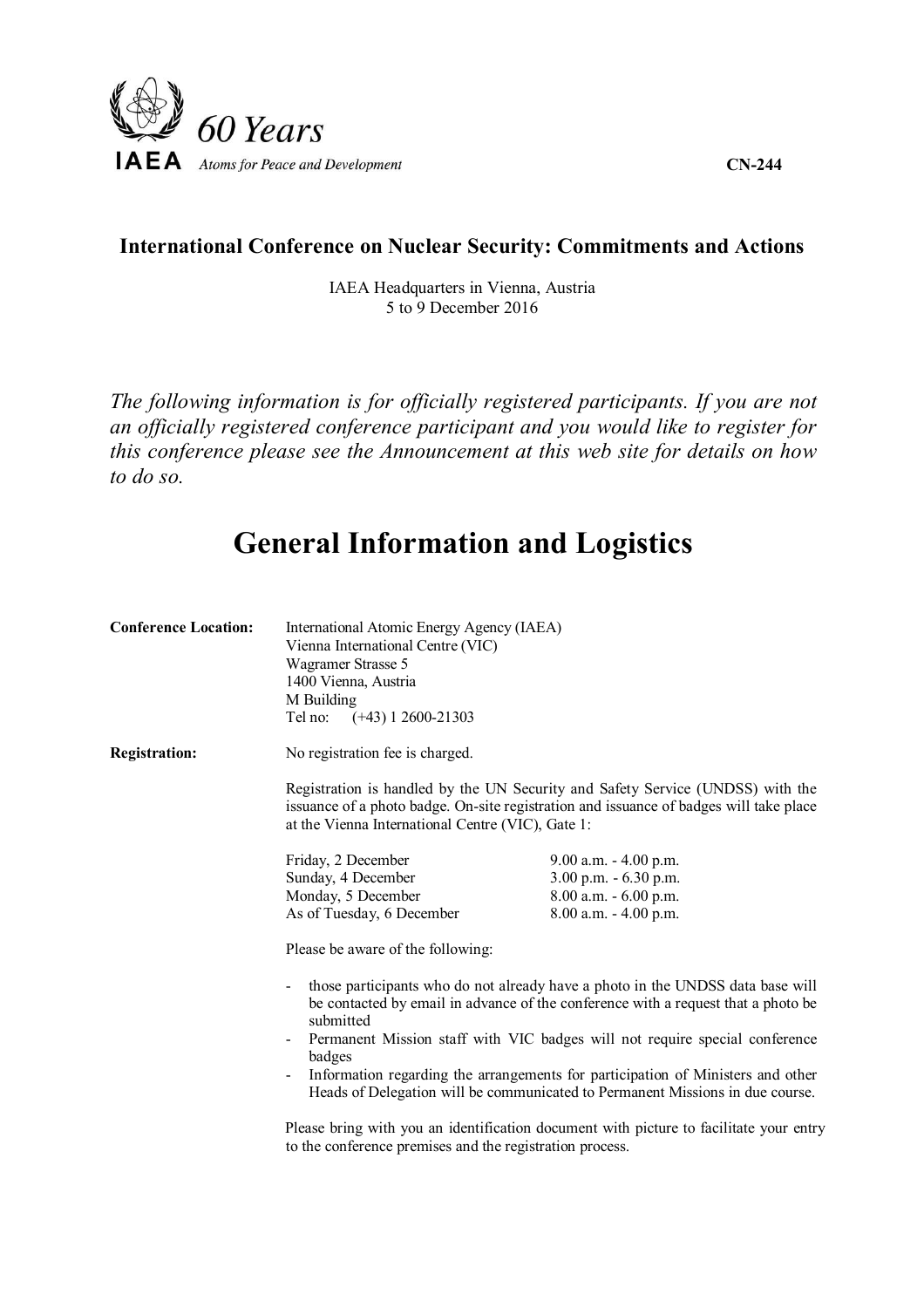

## **International Conference on Nuclear Security: Commitments and Actions**

IAEA Headquarters in Vienna, Austria 5 to 9 December 2016

*The following information is for officially registered participants. If you are not an officially registered conference participant and you would like to register for this conference please see the Announcement at this web site for details on how to do so.*

## **General Information and Logistics**

| <b>Conference Location:</b>                                                                                                                                                                                      | International Atomic Energy Agency (IAEA)<br>Vienna International Centre (VIC)<br>Wagramer Strasse 5<br>1400 Vienna, Austria<br>M Building |                          |  |                            |                                                                                                                                                                                                                               |  |  |
|------------------------------------------------------------------------------------------------------------------------------------------------------------------------------------------------------------------|--------------------------------------------------------------------------------------------------------------------------------------------|--------------------------|--|----------------------------|-------------------------------------------------------------------------------------------------------------------------------------------------------------------------------------------------------------------------------|--|--|
|                                                                                                                                                                                                                  |                                                                                                                                            |                          |  | Tel no: (+43) 1 2600-21303 |                                                                                                                                                                                                                               |  |  |
|                                                                                                                                                                                                                  |                                                                                                                                            |                          |  | <b>Registration:</b>       | No registration fee is charged.                                                                                                                                                                                               |  |  |
|                                                                                                                                                                                                                  |                                                                                                                                            |                          |  |                            | Registration is handled by the UN Security and Safety Service (UNDSS) with the<br>issuance of a photo badge. On-site registration and issuance of badges will take place<br>at the Vienna International Centre (VIC), Gate 1: |  |  |
|                                                                                                                                                                                                                  |                                                                                                                                            |                          |  |                            |                                                                                                                                                                                                                               |  |  |
|                                                                                                                                                                                                                  | Sunday, 4 December                                                                                                                         | $3.00$ p.m. $-6.30$ p.m. |  |                            |                                                                                                                                                                                                                               |  |  |
| Monday, 5 December                                                                                                                                                                                               | 8.00 a.m. - 6.00 p.m.                                                                                                                      |                          |  |                            |                                                                                                                                                                                                                               |  |  |
| As of Tuesday, 6 December                                                                                                                                                                                        | $8.00$ a.m. $- 4.00$ p.m.                                                                                                                  |                          |  |                            |                                                                                                                                                                                                                               |  |  |
| Please be aware of the following:                                                                                                                                                                                |                                                                                                                                            |                          |  |                            |                                                                                                                                                                                                                               |  |  |
| those participants who do not already have a photo in the UNDSS data base will<br>$\qquad \qquad \blacksquare$<br>be contacted by email in advance of the conference with a request that a photo be<br>submitted |                                                                                                                                            |                          |  |                            |                                                                                                                                                                                                                               |  |  |
| Permanent Mission staff with VIC badges will not require special conference<br>badges                                                                                                                            |                                                                                                                                            |                          |  |                            |                                                                                                                                                                                                                               |  |  |
| Information regarding the arrangements for participation of Ministers and other<br>Heads of Delegation will be communicated to Permanent Missions in due course.                                                 |                                                                                                                                            |                          |  |                            |                                                                                                                                                                                                                               |  |  |
|                                                                                                                                                                                                                  | Please bring with you an identification document with picture to facilitate your entry                                                     |                          |  |                            |                                                                                                                                                                                                                               |  |  |

to the conference premises and the registration process.